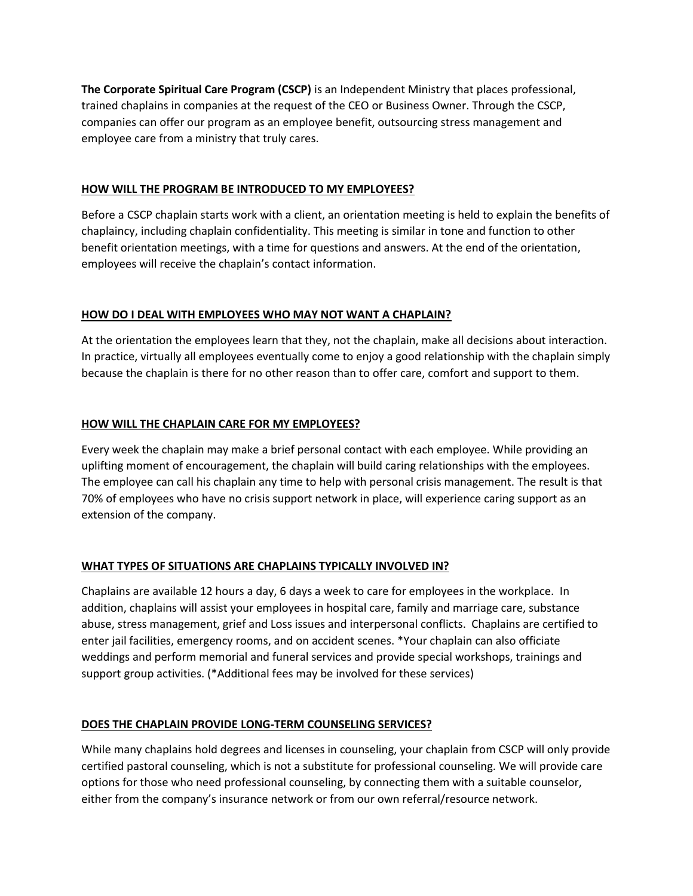**The Corporate Spiritual Care Program (CSCP)** is an Independent Ministry that places professional, trained chaplains in companies at the request of the CEO or Business Owner. Through the CSCP, companies can offer our program as an employee benefit, outsourcing stress management and employee care from a ministry that truly cares.

## **HOW WILL THE PROGRAM BE INTRODUCED TO MY EMPLOYEES?**

Before a CSCP chaplain starts work with a client, an orientation meeting is held to explain the benefits of chaplaincy, including chaplain confidentiality. This meeting is similar in tone and function to other benefit orientation meetings, with a time for questions and answers. At the end of the orientation, employees will receive the chaplain's contact information.

## **HOW DO I DEAL WITH EMPLOYEES WHO MAY NOT WANT A CHAPLAIN?**

At the orientation the employees learn that they, not the chaplain, make all decisions about interaction. In practice, virtually all employees eventually come to enjoy a good relationship with the chaplain simply because the chaplain is there for no other reason than to offer care, comfort and support to them.

# **HOW WILL THE CHAPLAIN CARE FOR MY EMPLOYEES?**

Every week the chaplain may make a brief personal contact with each employee. While providing an uplifting moment of encouragement, the chaplain will build caring relationships with the employees. The employee can call his chaplain any time to help with personal crisis management. The result is that 70% of employees who have no crisis support network in place, will experience caring support as an extension of the company.

# **WHAT TYPES OF SITUATIONS ARE CHAPLAINS TYPICALLY INVOLVED IN?**

Chaplains are available 12 hours a day, 6 days a week to care for employees in the workplace. In addition, chaplains will assist your employees in hospital care, family and marriage care, substance abuse, stress management, grief and Loss issues and interpersonal conflicts. Chaplains are certified to enter jail facilities, emergency rooms, and on accident scenes. \*Your chaplain can also officiate weddings and perform memorial and funeral services and provide special workshops, trainings and support group activities. (\*Additional fees may be involved for these services)

# **DOES THE CHAPLAIN PROVIDE LONG-TERM COUNSELING SERVICES?**

While many chaplains hold degrees and licenses in counseling, your chaplain from CSCP will only provide certified pastoral counseling, which is not a substitute for professional counseling. We will provide care options for those who need professional counseling, by connecting them with a suitable counselor, either from the company's insurance network or from our own referral/resource network.